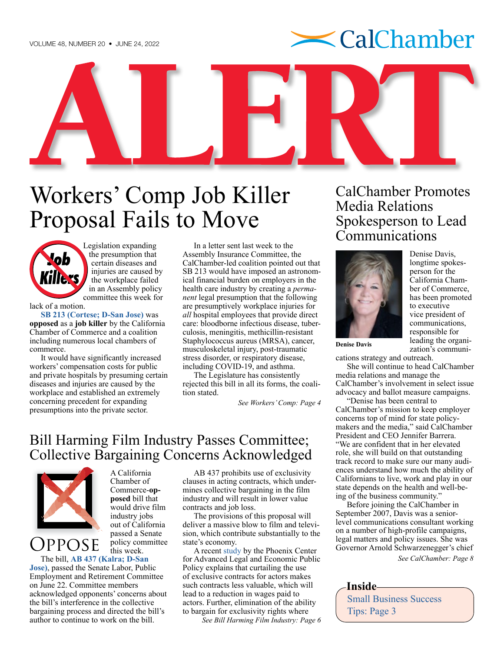

# <span id="page-0-0"></span>Workers' Comp Job Killer Proposal Fails to Move



[Legi](http://cajobkillers.com)slation expanding the presumption that certain diseases and injuries are caused by the workplace failed in an Assembly policy committee this week for

lack of a motion.

**[SB 213 \(Cortese; D-San Jose\)](https://ctweb.capitoltrack.com/public/search.aspx?t=bill&s=SB213&go=Search&session=21&id=1dae9efb-651d-4a02-a05d-360ca7965b14)** was **opposed** as a **job killer** by the California Chamber of Commerce and a coalition including numerous local chambers of commerce.

It would have significantly increased workers' compensation costs for public and private hospitals by presuming certain diseases and injuries are caused by the workplace and established an extremely concerning precedent for expanding presumptions into the private sector.

In a letter sent last week to the Assembly Insurance Committee, the CalChamber-led coalition pointed out that SB 213 would have imposed an astronomical financial burden on employers in the health care industry by creating a *permanent* legal presumption that the following are presumptively workplace injuries for *all* hospital employees that provide direct care: bloodborne infectious disease, tuberculosis, meningitis, methicillin-resistant Staphylococcus aureus (MRSA), cancer, musculoskeletal injury, post-traumatic stress disorder, or respiratory disease, including COVID-19, and asthma.

The Legislature has consistently rejected this bill in all its forms, the coalition stated.

*[See Workers' Comp: Page 4](#page-3-0)*

# Bill Harming Film Industry Passes Committee; Collective Bargaining Concerns Acknowledged



Oppose

Commerce-**opposed** bill that would drive film industry jobs out of California passed a Senate policy committee this week.

A California Chamber of

The bill, **[AB 437 \(Kalra; D-San](https://ctweb.capitoltrack.com/public/search.aspx?t=bill&s=AB437&go=Search&session=21&id=1dae9efb-651d-4a02-a05d-360ca7965b14)  [Jose\)](https://ctweb.capitoltrack.com/public/search.aspx?t=bill&s=AB437&go=Search&session=21&id=1dae9efb-651d-4a02-a05d-360ca7965b14)**, passed the Senate Labor, Public Employment and Retirement Committee on June 22. Committee members acknowledged opponents' concerns about the bill's interference in the collective bargaining process and directed the bill's author to continue to work on the bill.

AB 437 prohibits use of exclusivity clauses in acting contracts, which undermines collective bargaining in the film industry and will result in lower value contracts and job loss.

The provisions of this proposal will deliver a massive blow to film and television, which contribute substantially to the state's economy.

A recent [study](https://www.phoenix-center.org/PolicyBulletin/PCPB58Final.pdf) by the Phoenix Center for Advanced Legal and Economic Public Policy explains that curtailing the use of exclusive contracts for actors makes such contracts less valuable, which will lead to a reduction in wages paid to actors. Further, elimination of the ability to bargain for exclusivity rights where

*[See Bill Harming Film Industry: Page 6](#page-5-0)*

CalChamber Promotes Media Relations Spokesperson to Lead Communications



Denise Davis, longtime spokesperson for the California Chamber of Commerce, has been promoted to executive vice president of communications, responsible for leading the organization's communi-

**[Denise Davis](https://advocacy.calchamber.com/bios/denise-davis/)**

cations strategy and outreach.

She will continue to head CalChamber [media relations](https://advocacy.calchamber.com/cc-media/) and manage the CalChamber's involvement in select issue advocacy and ballot measure campaigns.

"Denise has been central to CalChamber's mission to keep employer concerns top of mind for state policymakers and the media," said CalChamber President and CEO Jennifer Barrera. "We are confident that in her elevated role, she will build on that outstanding track record to make sure our many audiences understand how much the ability of Californians to live, work and play in our state depends on the health and well-being of the business community."

Before joining the CalChamber in September 2007, Davis was a seniorlevel communications consultant working on a number of high-profile campaigns, legal matters and policy issues. She was Governor Arnold Schwarzenegger's chief *[See CalChamber: Page 8](#page-7-0)*

### **Inside**

[Small Business Success](#page-2-0)  [Tips: Page 3](#page-2-0)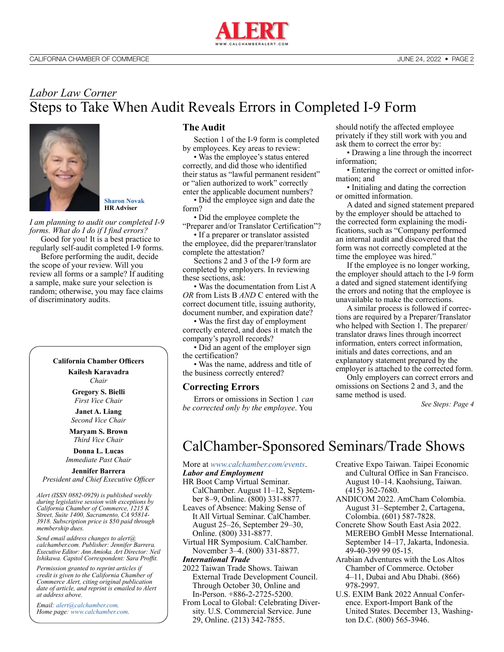

# <span id="page-1-0"></span>*Labor Law Corner* Steps to Take When Audit Reveals Errors in Completed I-9 Form



**[Sharon Novak](http://www.calchamber.com/hrcalifornia/labor-law-helpline/Pages/hr-advisers.aspx#sharon) HR Adviser**

*I am planning to audit our completed I-9 forms. What do I do if I find errors?* Good for you! It is a best practice to

regularly self-audit completed I-9 forms. Before performing the audit, decide

the scope of your review. Will you review all forms or a sample? If auditing a sample, make sure your selection is random; otherwise, you may face claims of discriminatory audits.

### **California Chamber Officers**

**Kailesh Karavadra** *Chair*

**Gregory S. Bielli** *First Vice Chair*

**Janet A. Liang** *Second Vice Chair*

**Maryam S. Brown** *Third Vice Chair*

**Donna L. Lucas** *Immediate Past Chair*

**Jennifer Barrera** *President and Chief Executive Officer*

*Alert (ISSN 0882-0929) is published weekly during legislative session with exceptions by California Chamber of Commerce, 1215 K Street, Suite 1400, Sacramento, CA 95814- 3918. Subscription price is \$50 paid through membership dues.* 

*Send email address changes to alert@ calchamber.com. Publisher: Jennifer Barrera. Executive Editor: Ann Amioka. Art Director: Neil Ishikawa. Capitol Correspondent: Sara Proffit.* 

*Permission granted to reprint articles if credit is given to the California Chamber of Commerce Alert, citing original publication date of article, and reprint is emailed to Alert at address above.* 

*Email: [alert@calchamber.com.](mailto:alert%40calchamber.com?subject=) Home page: [www.calchamber.com](http://www.calchamber.com).*

### **The Audit**

Section 1 of the I-9 form is completed by employees. Key areas to review:

• Was the employee's status entered correctly, and did those who identified their status as "lawful permanent resident" or "alien authorized to work" correctly enter the applicable document numbers?

• Did the employee sign and date the form?

• Did the employee complete the "Preparer and/or Translator Certification"?

• If a preparer or translator assisted the employee, did the preparer/translator complete the attestation?

Sections 2 and 3 of the I-9 form are completed by employers. In reviewing these sections, ask:

• Was the documentation from List A *OR* from Lists B *AND* C entered with the correct document title, issuing authority, document number, and expiration date?

• Was the first day of employment correctly entered, and does it match the company's payroll records?

• Did an agent of the employer sign the certification?

• Was the name, address and title of the business correctly entered?

#### **Correcting Errors**

Errors or omissions in Section 1 *can be corrected only by the employee*. You

should notify the affected employee privately if they still work with you and ask them to correct the error by:

• Drawing a line through the incorrect information;

• Entering the correct or omitted information; and

• Initialing and dating the correction or omitted information.

A dated and signed statement prepared by the employer should be attached to the corrected form explaining the modifications, such as "Company performed an internal audit and discovered that the form was not correctly completed at the time the employee was hired."

If the employee is no longer working, the employer should attach to the I-9 form a dated and signed statement identifying the errors and noting that the employee is unavailable to make the corrections.

A similar process is followed if corrections are required by a Preparer/Translator who helped with Section 1. The preparer/ translator draws lines through incorrect information, enters correct information, initials and dates corrections, and an explanatory statement prepared by the employer is attached to the corrected form.

Only employers can correct errors and omissions on Sections 2 and 3, and the same method is used.

*[See Steps: Page 4](#page-3-0)*

# CalChamber-Sponsored Seminars/Trade Shows

More at *[www.calchamber.com/events](http://www.calchamber.com/events)*.

#### *Labor and Employment*

- HR Boot Camp Virtual Seminar. CalChamber. August 11–12, September 8–9, Online. (800) 331-8877.
- Leaves of Absence: Making Sense of It All Virtual Seminar. CalChamber. August 25–26, September 29–30, Online. (800) 331-8877.
- Virtual HR Symposium. CalChamber. November 3–4. (800) 331-8877.

### *International Trade*

2022 Taiwan Trade Shows. Taiwan External Trade Development Council. Through October 30, Online and In-Person. +886-2-2725-5200.

From Local to Global: Celebrating Diversity. U.S. Commercial Service. June 29, Online. (213) 342-7855.

- Creative Expo Taiwan. Taipei Economic and Cultural Office in San Francisco. August 10–14. Kaohsiung, Taiwan. (415) 362-7680.
- ANDICOM 2022. AmCham Colombia. August 31–September 2, Cartagena, Colombia. (601) 587-7828.
- Concrete Show South East Asia 2022. MEREBO GmbH Messe International. September 14–17, Jakarta, Indonesia. 49-40-399 99 05-15.
- Arabian Adventures with the Los Altos Chamber of Commerce. October 4–11, Dubai and Abu Dhabi. (866) 978-2997.
- U.S. EXIM Bank 2022 Annual Conference. Export-Import Bank of the United States. December 13, Washington D.C. (800) 565-3946.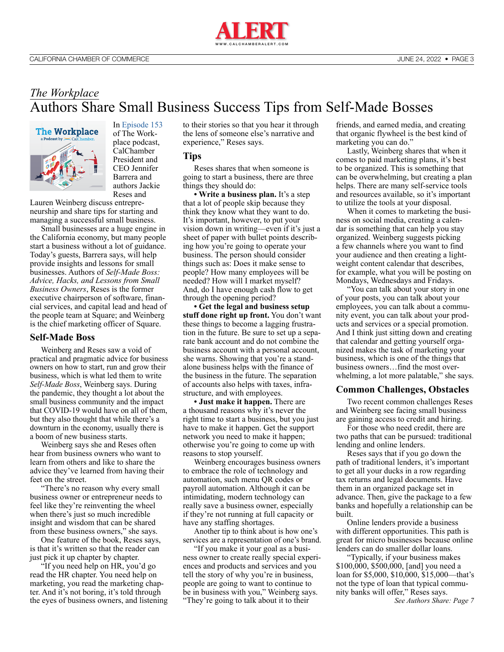

## <span id="page-2-0"></span>*The Workplace* Authors Share Small Business Success Tips from Self-Made Bosses



In [Episode 153](https://advocacy.calchamber.com/2022/06/22/authors-share-small-business-success-tips-from-self-made-bosses/) of The Workplace podcast, CalChamber President and CEO Jennifer Barrera and authors Jackie Reses and

Lauren Weinberg discuss entrepreneurship and share tips for starting and managing a successful small business.

Small businesses are a huge engine in the California economy, but many people start a business without a lot of guidance. Today's guests, Barrera says, will help provide insights and lessons for small businesses. Authors of *Self-Made Boss: Advice, Hacks, and Lessons from Small Business Owners*, Reses is the former executive chairperson of software, financial services, and capital lead and head of the people team at Square; and Weinberg is the chief marketing officer of Square.

#### **Self-Made Boss**

Weinberg and Reses saw a void of practical and pragmatic advice for business owners on how to start, run and grow their business, which is what led them to write *Self-Made Boss*, Weinberg says. During the pandemic, they thought a lot about the small business community and the impact that COVID-19 would have on all of them, but they also thought that while there's a downturn in the economy, usually there is a boom of new business starts.

Weinberg says she and Reses often hear from business owners who want to learn from others and like to share the advice they've learned from having their feet on the street.

"There's no reason why every small business owner or entrepreneur needs to feel like they're reinventing the wheel when there's just so much incredible insight and wisdom that can be shared from these business owners," she says.

One feature of the book, Reses says, is that it's written so that the reader can just pick it up chapter by chapter.

"If you need help on HR, you'd go read the HR chapter. You need help on marketing, you read the marketing chapter. And it's not boring, it's told through the eyes of business owners, and listening to their stories so that you hear it through the lens of someone else's narrative and experience," Reses says.

#### **Tips**

Reses shares that when someone is going to start a business, there are three things they should do:

**• Write a business plan.** It's a step that a lot of people skip because they think they know what they want to do. It's important, however, to put your vision down in writing—even if it's just a sheet of paper with bullet points describing how you're going to operate your business. The person should consider things such as: Does it make sense to people? How many employees will be needed? How will I market myself? And, do I have enough cash flow to get through the opening period?

**• Get the legal and business setup stuff done right up front.** You don't want these things to become a lagging frustration in the future. Be sure to set up a separate bank account and do not combine the business account with a personal account, she warns. Showing that you're a standalone business helps with the finance of the business in the future. The separation of accounts also helps with taxes, infrastructure, and with employees.

**• Just make it happen.** There are a thousand reasons why it's never the right time to start a business, but you just have to make it happen. Get the support network you need to make it happen; otherwise you're going to come up with reasons to stop yourself.

Weinberg encourages business owners to embrace the role of technology and automation, such menu QR codes or payroll automation. Although it can be intimidating, modern technology can really save a business owner, especially if they're not running at full capacity or have any staffing shortages.

Another tip to think about is how one's services are a representation of one's brand.

"If you make it your goal as a business owner to create really special experiences and products and services and you tell the story of why you're in business, people are going to want to continue to be in business with you," Weinberg says. "They're going to talk about it to their

friends, and earned media, and creating that organic flywheel is the best kind of marketing you can do."

Lastly, Weinberg shares that when it comes to paid marketing plans, it's best to be organized. This is something that can be overwhelming, but creating a plan helps. There are many self-service tools and resources available, so it's important to utilize the tools at your disposal.

When it comes to marketing the business on social media, creating a calendar is something that can help you stay organized. Weinberg suggests picking a few channels where you want to find your audience and then creating a lightweight content calendar that describes, for example, what you will be posting on Mondays, Wednesdays and Fridays.

"You can talk about your story in one of your posts, you can talk about your employees, you can talk about a community event, you can talk about your products and services or a special promotion. And I think just sitting down and creating that calendar and getting yourself organized makes the task of marketing your business, which is one of the things that business owners…find the most overwhelming, a lot more palatable," she says.

### **Common Challenges, Obstacles**

Two recent common challenges Reses and Weinberg see facing small business are gaining access to credit and hiring.

For those who need credit, there are two paths that can be pursued: traditional lending and online lenders.

Reses says that if you go down the path of traditional lenders, it's important to get all your ducks in a row regarding tax returns and legal documents. Have them in an organized package set in advance. Then, give the package to a few banks and hopefully a relationship can be built.

Online lenders provide a business with different opportunities. This path is great for micro businesses because online lenders can do smaller dollar loans.

"Typically, if your business makes \$100,000, \$500,000, [and] you need a loan for \$5,000, \$10,000, \$15,000—that's not the type of loan that typical community banks will offer," Reses says.

*[See Authors Share: Page 7](#page-6-0)*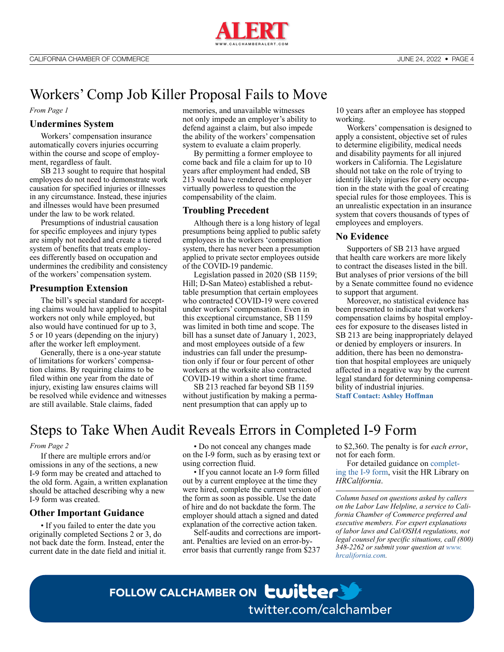

# <span id="page-3-0"></span>Workers' Comp Job Killer Proposal Fails to Move

*[From Page 1](#page-0-0)*

### **Undermines System**

Workers' compensation insurance automatically covers injuries occurring within the course and scope of employment, regardless of fault.

SB 213 sought to require that hospital employees do not need to demonstrate work causation for specified injuries or illnesses in any circumstance. Instead, these injuries and illnesses would have been presumed under the law to be work related.

Presumptions of industrial causation for specific employees and injury types are simply not needed and create a tiered system of benefits that treats employees differently based on occupation and undermines the credibility and consistency of the workers' compensation system.

### **Presumption Extension**

The bill's special standard for accepting claims would have applied to hospital workers not only while employed, but also would have continued for up to 3, 5 or 10 years (depending on the injury) after the worker left employment.

Generally, there is a one-year statute of limitations for workers' compensation claims. By requiring claims to be filed within one year from the date of injury, existing law ensures claims will be resolved while evidence and witnesses are still available. Stale claims, faded

memories, and unavailable witnesses not only impede an employer's ability to defend against a claim, but also impede the ability of the workers' compensation system to evaluate a claim properly.

By permitting a former employee to come back and file a claim for up to 10 years after employment had ended, SB 213 would have rendered the employer virtually powerless to question the compensability of the claim.

### **Troubling Precedent**

Although there is a long history of legal presumptions being applied to public safety employees in the workers 'compensation system, there has never been a presumption applied to private sector employees outside of the COVID-19 pandemic.

Legislation passed in 2020 (SB 1159; Hill; D-San Mateo) established a rebuttable presumption that certain employees who contracted COVID-19 were covered under workers' compensation. Even in this exceptional circumstance, SB 1159 was limited in both time and scope. The bill has a sunset date of January 1, 2023, and most employees outside of a few industries can fall under the presumption only if four or four percent of other workers at the worksite also contracted COVID-19 within a short time frame.

SB 213 reached far beyond SB 1159 without justification by making a permanent presumption that can apply up to

10 years after an employee has stopped working.

Workers' compensation is designed to apply a consistent, objective set of rules to determine eligibility, medical needs and disability payments for all injured workers in California. The Legislature should not take on the role of trying to identify likely injuries for every occupation in the state with the goal of creating special rules for those employees. This is an unrealistic expectation in an insurance system that covers thousands of types of employees and employers.

#### **No Evidence**

Supporters of SB 213 have argued that health care workers are more likely to contract the diseases listed in the bill. But analyses of prior versions of the bill by a Senate committee found no evidence to support that argument.

Moreover, no statistical evidence has been presented to indicate that workers' compensation claims by hospital employees for exposure to the diseases listed in SB 213 are being inappropriately delayed or denied by employers or insurers. In addition, there has been no demonstration that hospital employees are uniquely affected in a negative way by the current legal standard for determining compensability of industrial injuries.

**[Staff Contact: Ashley Hoffman](https://advocacy.calchamber.com/bios/ashley-hoffman/)**

# Steps to Take When Audit Reveals Errors in Completed I-9 Form

#### *[From Page 2](#page-1-0)*

If there are multiple errors and/or omissions in any of the sections, a new I-9 form may be created and attached to the old form. Again, a written explanation should be attached describing why a new I-9 form was created.

#### **Other Important Guidance**

• If you failed to enter the date you originally completed Sections 2 or 3, do not back date the form. Instead, enter the current date in the date field and initial it.

• Do not conceal any changes made on the I-9 form, such as by erasing text or using correction fluid.

• If you cannot locate an I-9 form filled out by a current employee at the time they were hired, complete the current version of the form as soon as possible. Use the date of hire and do not backdate the form. The employer should attach a signed and dated explanation of the corrective action taken.

Self-audits and corrections are important. Penalties are levied on an error-byerror basis that currently range from \$237 to \$2,360. The penalty is for *each error*, not for each form.

For detailed guidance on [complet](https://hrcalifornia.calchamber.com/hr-library/recruiting-hiring/I9-verifying-eligibility/completing-the-Form-i9)[ing the I-9 form,](https://hrcalifornia.calchamber.com/hr-library/recruiting-hiring/I9-verifying-eligibility/completing-the-Form-i9) visit the HR Library on *HRCalifornia*.

*Column based on questions asked by callers on the Labor Law Helpline, a service to California Chamber of Commerce preferred and executive members. For expert explanations of labor laws and Cal/OSHA regulations, not legal counsel for specific situations, call (800) 348-2262 or submit your question at [www.](http://www.hrcalifornia.com) [hrcalifornia.com](http://www.hrcalifornia.com).*

# FOLLOW CALCHAMBER ON **CWILLER** [twitter.com/calchamber](http://twitter.com/calchamber)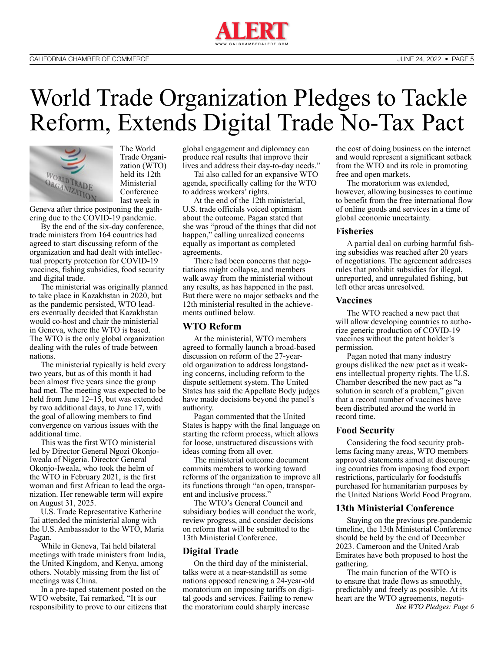

# <span id="page-4-0"></span>World Trade Organization Pledges to Tackle Reform, Extends Digital Trade No-Tax Pact



The World Trade Organization (WTO) held its 12th Ministerial Conference last week in

Geneva after thrice postponing the gathering due to the COVID-19 pandemic.

By the end of the six-day conference, trade ministers from 164 countries had agreed to start discussing reform of the organization and had dealt with intellectual property protection for COVID-19 vaccines, fishing subsidies, food security and digital trade.

The ministerial was originally planned to take place in Kazakhstan in 2020, but as the pandemic persisted, WTO leaders eventually decided that Kazakhstan would co-host and chair the ministerial in Geneva, where the WTO is based. The WTO is the only global organization dealing with the rules of trade between nations.

The ministerial typically is held every two years, but as of this month it had been almost five years since the group had met. The meeting was expected to be held from June 12–15, but was extended by two additional days, to June 17, with the goal of allowing members to find convergence on various issues with the additional time.

This was the first WTO ministerial led by Director General Ngozi Okonjo-Iweala of Nigeria. Director General Okonjo-Iweala, who took the helm of the WTO in February 2021, is the first woman and first African to lead the organization. Her renewable term will expire on August 31, 2025.

U.S. Trade Representative Katherine Tai attended the ministerial along with the U.S. Ambassador to the WTO, Maria Pagan.

While in Geneva, Tai held bilateral meetings with trade ministers from India, the United Kingdom, and Kenya, among others. Notably missing from the list of meetings was China.

In a pre-taped statement posted on the WTO website, Tai remarked, "It is our responsibility to prove to our citizens that global engagement and diplomacy can produce real results that improve their lives and address their day-to-day needs."

Tai also called for an expansive WTO agenda, specifically calling for the WTO to address workers' rights.

At the end of the 12th ministerial, U.S. trade officials voiced optimism about the outcome. Pagan stated that she was "proud of the things that did not happen," calling unrealized concerns equally as important as completed agreements.

There had been concerns that negotiations might collapse, and members walk away from the ministerial without any results, as has happened in the past. But there were no major setbacks and the 12th ministerial resulted in the achievements outlined below.

### **WTO Reform**

At the ministerial, WTO members agreed to formally launch a broad-based discussion on reform of the 27-yearold organization to address longstanding concerns, including reform to the dispute settlement system. The United States has said the Appellate Body judges have made decisions beyond the panel's authority.

Pagan commented that the United States is happy with the final language on starting the reform process, which allows for loose, unstructured discussions with ideas coming from all over.

The ministerial outcome document commits members to working toward reforms of the organization to improve all its functions through "an open, transparent and inclusive process."

The WTO's General Council and subsidiary bodies will conduct the work, review progress, and consider decisions on reform that will be submitted to the 13th Ministerial Conference.

#### **Digital Trade**

On the third day of the ministerial, talks were at a near-standstill as some nations opposed renewing a 24-year-old moratorium on imposing tariffs on digital goods and services. Failing to renew the moratorium could sharply increase

the cost of doing business on the internet and would represent a significant setback from the WTO and its role in promoting free and open markets.

The moratorium was extended, however, allowing businesses to continue to benefit from the free international flow of online goods and services in a time of global economic uncertainty.

#### **Fisheries**

A partial deal on curbing harmful fishing subsidies was reached after 20 years of negotiations. The agreement addresses rules that prohibit subsidies for illegal, unreported, and unregulated fishing, but left other areas unresolved.

### **Vaccines**

The WTO reached a new pact that will allow developing countries to authorize generic production of COVID-19 vaccines without the patent holder's permission.

Pagan noted that many industry groups disliked the new pact as it weakens intellectual property rights. The U.S. Chamber described the new pact as "a solution in search of a problem," given that a record number of vaccines have been distributed around the world in record time.

#### **Food Security**

Considering the food security problems facing many areas, WTO members approved statements aimed at discouraging countries from imposing food export restrictions, particularly for foodstuffs purchased for humanitarian purposes by the United Nations World Food Program.

#### **13th Ministerial Conference**

Staying on the previous pre-pandemic timeline, the 13th Ministerial Conference should be held by the end of December 2023. Cameroon and the United Arab Emirates have both proposed to host the gathering.

The main function of the WTO is to ensure that trade flows as smoothly, predictably and freely as possible. At its heart are the WTO agreements, negoti-*[See WTO Pledges: Page 6](#page-5-0)*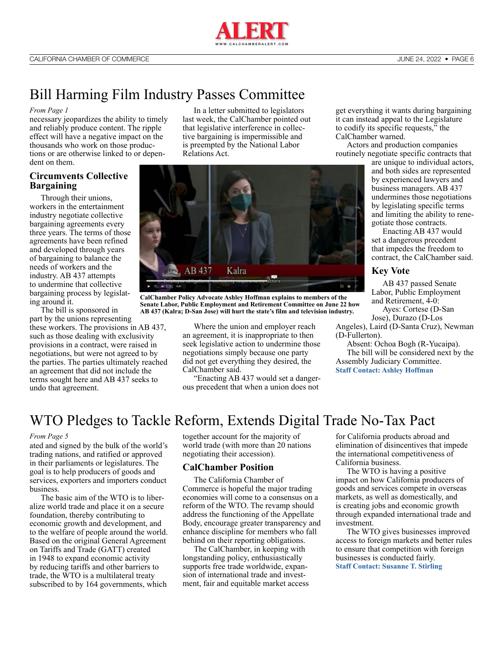

# <span id="page-5-0"></span>Bill Harming Film Industry Passes Committee

#### *[From Page 1](#page-0-0)*

necessary jeopardizes the ability to timely and reliably produce content. The ripple effect will have a negative impact on the thousands who work on those productions or are otherwise linked to or dependent on them.

### **Circumvents Collective Bargaining**

Through their unions, workers in the entertainment industry negotiate collective bargaining agreements every three years. The terms of those agreements have been refined and developed through years of bargaining to balance the needs of workers and the industry. AB 437 attempts to undermine that collective bargaining process by legislating around it.

The bill is sponsored in part by the unions representing these workers. The provisions in AB 437, such as those dealing with exclusivity provisions in a contract, were raised in negotiations, but were not agreed to by the parties. The parties ultimately reached an agreement that did not include the terms sought here and AB 437 seeks to undo that agreement.

In a letter submitted to legislators last week, the CalChamber pointed out that legislative interference in collective bargaining is impermissible and is preempted by the National Labor Relations Act.



**CalChamber Policy Advocate Ashley Hoffman explains to members of the Senate Labor, Public Employment and Retirement Committee on June 22 how AB 437 (Kalra; D-San Jose) will hurt the state's film and television industry.**

Where the union and employer reach an agreement, it is inappropriate to then seek legislative action to undermine those negotiations simply because one party did not get everything they desired, the CalChamber said.

"Enacting AB 437 would set a dangerous precedent that when a union does not

get everything it wants during bargaining it can instead appeal to the Legislature to codify its specific requests," the CalChamber warned.

Actors and production companies routinely negotiate specific contracts that

are unique to individual actors, and both sides are represented by experienced lawyers and business managers. AB 437 undermines those negotiations by legislating specific terms and limiting the ability to renegotiate those contracts.

Enacting AB 437 would set a dangerous precedent that impedes the freedom to contract, the CalChamber said.

#### **Key Vote**

AB 437 passed Senate Labor, Public Employment and Retirement, 4-0:

Ayes: Cortese (D-San Jose), Durazo (D-Los

Angeles), Laird (D-Santa Cruz), Newman (D-Fullerton).

Absent: Ochoa Bogh (R-Yucaipa). The bill will be considered next by the Assembly Judiciary Committee. **[Staff Contact: Ashley Hoffman](https://advocacy.calchamber.com/bios/ashley-hoffman/)**

# WTO Pledges to Tackle Reform, Extends Digital Trade No-Tax Pact

#### *[From Page 5](#page-4-0)*

ated and signed by the bulk of the world's trading nations, and ratified or approved in their parliaments or legislatures. The goal is to help producers of goods and services, exporters and importers conduct business.

The basic aim of the WTO is to liberalize world trade and place it on a secure foundation, thereby contributing to economic growth and development, and to the welfare of people around the world. Based on the original General Agreement on Tariffs and Trade (GATT) created in 1948 to expand economic activity by reducing tariffs and other barriers to trade, the WTO is a multilateral treaty subscribed to by 164 governments, which together account for the majority of world trade (with more than 20 nations negotiating their accession).

### **CalChamber Position**

The California Chamber of Commerce is hopeful the major trading economies will come to a consensus on a reform of the WTO. The revamp should address the functioning of the Appellate Body, encourage greater transparency and enhance discipline for members who fall behind on their reporting obligations.

The CalChamber, in keeping with longstanding policy, enthusiastically supports free trade worldwide, expansion of international trade and investment, fair and equitable market access for California products abroad and elimination of disincentives that impede the international competitiveness of California business.

The WTO is having a positive impact on how California producers of goods and services compete in overseas markets, as well as domestically, and is creating jobs and economic growth through expanded international trade and investment.

The WTO gives businesses improved access to foreign markets and better rules to ensure that competition with foreign businesses is conducted fairly. **[Staff Contact: Susanne T. Stirling](https://advocacy.calchamber.com/bios/susanne-stirling/)**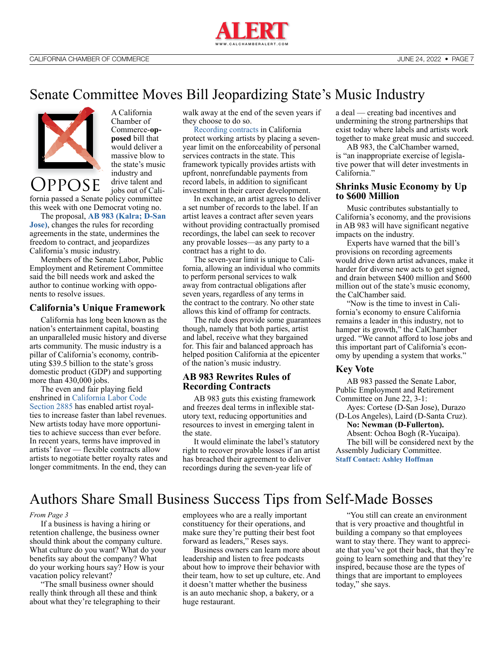

# <span id="page-6-0"></span>Senate Committee Moves Bill Jeopardizing State's Music Industry



**OPPOSE** 

A California Chamber of Commerce-**opposed** bill that would deliver a massive blow to the state's music industry and drive talent and jobs out of Cali-

fornia passed a Senate policy committee this week with one Democrat voting no.

The proposal, **[AB 983 \(Kalra; D-San](https://ctweb.capitoltrack.com/public/search.aspx?t=bill&s=AB983&go=Search&session=21&id=1dae9efb-651d-4a02-a05d-360ca7965b14)  [Jose\)](https://ctweb.capitoltrack.com/public/search.aspx?t=bill&s=AB983&go=Search&session=21&id=1dae9efb-651d-4a02-a05d-360ca7965b14)**, changes the rules for recording agreements in the state, undermines the freedom to contract, and jeopardizes California's music industry.

Members of the Senate Labor, Public Employment and Retirement Committee said the bill needs work and asked the author to continue working with opponents to resolve issues.

#### **California's Unique Framework**

California has long been known as the nation's entertainment capital, boasting an unparalleled music history and diverse arts community. The music industry is a pillar of California's economy, contributing \$39.5 billion to the state's gross domestic product (GDP) and supporting more than 430,000 jobs.

The even and fair playing field enshrined in [California Labor Code](https://www.calimusiccoalition.com/_files/ugd/3e8afa_843c44b05b304bf49a3488ce4c511015.pdf)  [Section 2885](https://www.calimusiccoalition.com/_files/ugd/3e8afa_843c44b05b304bf49a3488ce4c511015.pdf) has enabled artist royalties to increase faster than label revenues. New artists today have more opportunities to achieve success than ever before. In recent years, terms have improved in artists' favor — flexible contracts allow artists to negotiate better royalty rates and longer commitments. In the end, they can

walk away at the end of the seven years if they choose to do so.

[Recording contracts](https://www.calimusiccoalition.com/_files/ugd/3e8afa_843c44b05b304bf49a3488ce4c511015.pdf) in California protect working artists by placing a sevenyear limit on the enforceability of personal services contracts in the state. This framework typically provides artists with upfront, nonrefundable payments from record labels, in addition to significant investment in their career development.

In exchange, an artist agrees to deliver a set number of records to the label. If an artist leaves a contract after seven years without providing contractually promised recordings, the label can seek to recover any provable losses—as any party to a contract has a right to do.

The seven-year limit is unique to California, allowing an individual who commits to perform personal services to walk away from contractual obligations after seven years, regardless of any terms in the contract to the contrary. No other state allows this kind of offramp for contracts.

The rule does provide some guarantees though, namely that both parties, artist and label, receive what they bargained for. This fair and balanced approach has helped position California at the epicenter of the nation's music industry.

### **AB 983 Rewrites Rules of Recording Contracts**

AB 983 guts this existing framework and freezes deal terms in inflexible statutory text, reducing opportunities and resources to invest in emerging talent in the state.

It would eliminate the label's statutory right to recover provable losses if an artist has breached their agreement to deliver recordings during the seven-year life of

a deal — creating bad incentives and undermining the strong partnerships that exist today where labels and artists work together to make great music and succeed.

AB 983, the CalChamber warned, is "an inappropriate exercise of legislative power that will deter investments in California."

### **Shrinks Music Economy by Up to \$600 Million**

Music contributes substantially to California's economy, and the provisions in AB 983 will have significant negative impacts on the industry.

Experts have warned that the bill's provisions on recording agreements would drive down artist advances, make it harder for diverse new acts to get signed, and drain between \$400 million and \$600 million out of the state's music economy, the CalChamber said.

"Now is the time to invest in California's economy to ensure California remains a leader in this industry, not to hamper its growth," the CalChamber urged. "We cannot afford to lose jobs and this important part of California's economy by upending a system that works."

### **Key Vote**

AB 983 passed the Senate Labor, Public Employment and Retirement Committee on June 22, 3-1:

Ayes: Cortese (D-San Jose), Durazo (D-Los Angeles), Laird (D-Santa Cruz).

**No: Newman (D-Fullerton).** Absent: Ochoa Bogh (R-Yucaipa).

The bill will be considered next by the Assembly Judiciary Committee. **[Staff Contact: Ashley Hoffman](https://advocacy.calchamber.com/bios/ashley-hoffman/)**

# Authors Share Small Business Success Tips from Self-Made Bosses

#### *[From Page 3](#page-2-0)*

If a business is having a hiring or retention challenge, the business owner should think about the company culture. What culture do you want? What do your benefits say about the company? What do your working hours say? How is your vacation policy relevant?

"The small business owner should really think through all these and think about what they're telegraphing to their employees who are a really important constituency for their operations, and make sure they're putting their best foot forward as leaders," Reses says.

Business owners can learn more about leadership and listen to free podcasts about how to improve their behavior with their team, how to set up culture, etc. And it doesn't matter whether the business is an auto mechanic shop, a bakery, or a huge restaurant.

"You still can create an environment that is very proactive and thoughtful in building a company so that employees want to stay there. They want to appreciate that you've got their back, that they're going to learn something and that they're inspired, because those are the types of things that are important to employees today," she says.